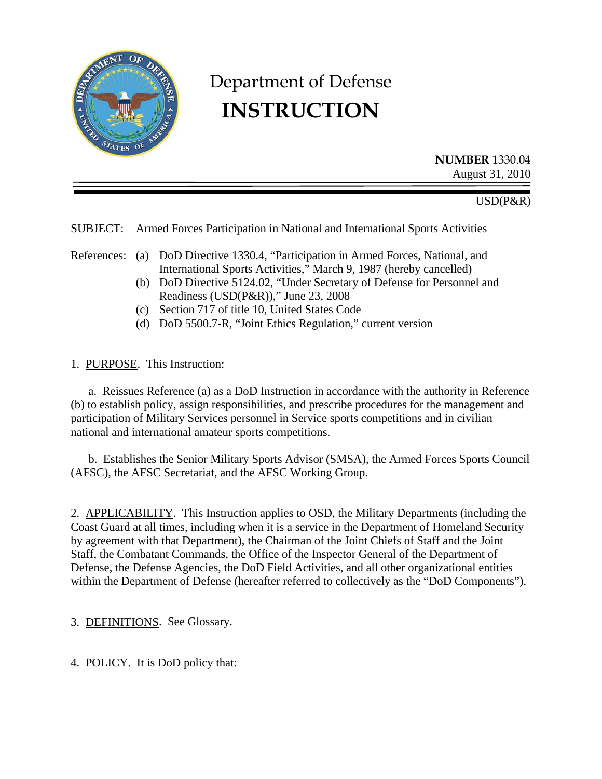

# Department of Defense **INSTRUCTION**

**NUMBER** 1330.04 August 31, 2010

USD(P&R)

SUBJECT: Armed Forces Participation in National and International Sports Activities

- References: (a) DoD Directive 1330.4, "Participation in Armed Forces, National, and International Sports Activities," March 9, 1987 (hereby cancelled)
	- (b) DoD Directive 5124.02, "Under Secretary of Defense for Personnel and Readiness (USD(P&R))," June 23, 2008
	- (c) Section 717 of title 10, United States Code
	- (d) DoD 5500.7-R, "Joint Ethics Regulation," current version

1. PURPOSE. This Instruction:

 a. Reissues Reference (a) as a DoD Instruction in accordance with the authority in Reference (b) to establish policy, assign responsibilities, and prescribe procedures for the management and participation of Military Services personnel in Service sports competitions and in civilian national and international amateur sports competitions.

 b. Establishes the Senior Military Sports Advisor (SMSA), the Armed Forces Sports Council (AFSC), the AFSC Secretariat, and the AFSC Working Group.

2. APPLICABILITY. This Instruction applies to OSD, the Military Departments (including the Coast Guard at all times, including when it is a service in the Department of Homeland Security by agreement with that Department), the Chairman of the Joint Chiefs of Staff and the Joint Staff, the Combatant Commands, the Office of the Inspector General of the Department of Defense, the Defense Agencies, the DoD Field Activities, and all other organizational entities within the Department of Defense (hereafter referred to collectively as the "DoD Components").

3. DEFINITIONS. See Glossary.

4. POLICY. It is DoD policy that: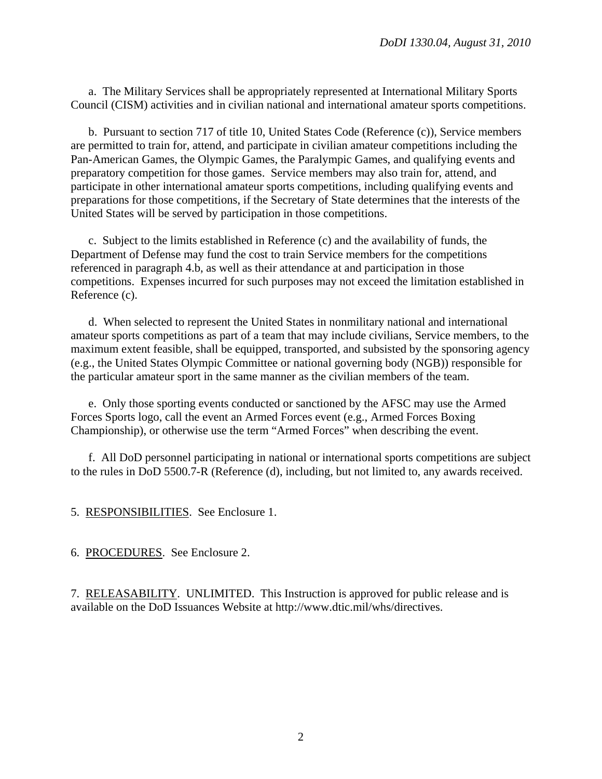a. The Military Services shall be appropriately represented at International Military Sports Council (CISM) activities and in civilian national and international amateur sports competitions.

 b. Pursuant to section 717 of title 10, United States Code (Reference (c)), Service members are permitted to train for, attend, and participate in civilian amateur competitions including the Pan-American Games, the Olympic Games, the Paralympic Games, and qualifying events and preparatory competition for those games. Service members may also train for, attend, and participate in other international amateur sports competitions, including qualifying events and preparations for those competitions, if the Secretary of State determines that the interests of the United States will be served by participation in those competitions.

 c. Subject to the limits established in Reference (c) and the availability of funds, the Department of Defense may fund the cost to train Service members for the competitions referenced in paragraph 4.b, as well as their attendance at and participation in those competitions. Expenses incurred for such purposes may not exceed the limitation established in Reference (c).

 d. When selected to represent the United States in nonmilitary national and international amateur sports competitions as part of a team that may include civilians, Service members, to the maximum extent feasible, shall be equipped, transported, and subsisted by the sponsoring agency (e.g., the United States Olympic Committee or national governing body (NGB)) responsible for the particular amateur sport in the same manner as the civilian members of the team.

 e. Only those sporting events conducted or sanctioned by the AFSC may use the Armed Forces Sports logo, call the event an Armed Forces event (e.g., Armed Forces Boxing Championship), or otherwise use the term "Armed Forces" when describing the event.

 f. All DoD personnel participating in national or international sports competitions are subject to the rules in DoD 5500.7-R (Reference (d), including, but not limited to, any awards received.

5. RESPONSIBILITIES. See Enclosure 1.

6. PROCEDURES. See Enclosure 2.

7. RELEASABILITY. UNLIMITED. This Instruction is approved for public release and is available on the DoD Issuances Website at http://www.dtic.mil/whs/directives.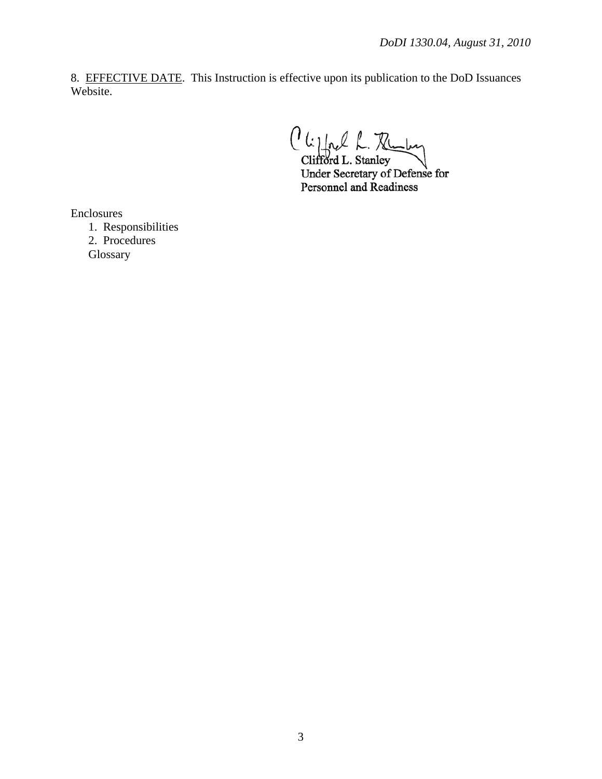8. EFFECTIVE DATE. This Instruction is effective upon its publication to the DoD Issuances Website.

Clippel L. Ruby

Under Secretary of Defense for Personnel and Readiness

Enclosures

 1. Responsibilities 2. Procedures **Glossary**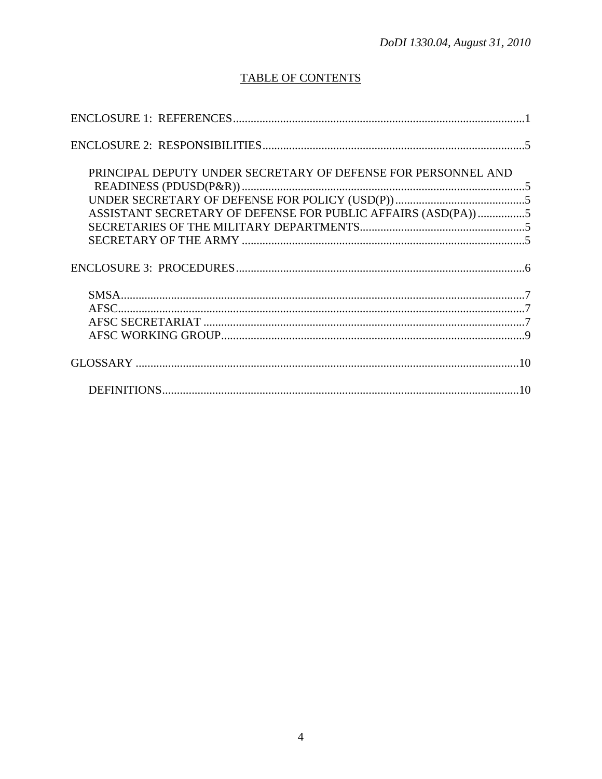## **TABLE OF CONTENTS**

| PRINCIPAL DEPUTY UNDER SECRETARY OF DEFENSE FOR PERSONNEL AND |  |
|---------------------------------------------------------------|--|
|                                                               |  |
|                                                               |  |
| ASSISTANT SECRETARY OF DEFENSE FOR PUBLIC AFFAIRS (ASD(PA)) 5 |  |
|                                                               |  |
|                                                               |  |
|                                                               |  |
|                                                               |  |
|                                                               |  |
|                                                               |  |
|                                                               |  |
|                                                               |  |
|                                                               |  |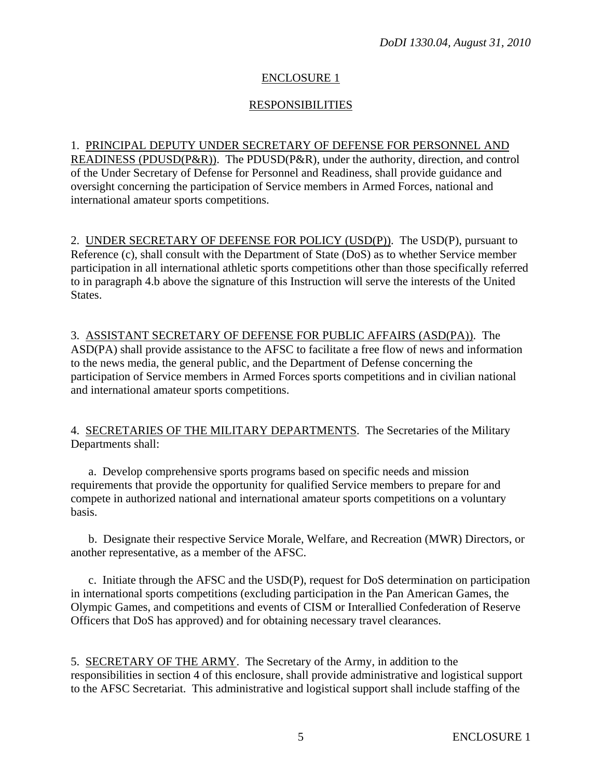## ENCLOSURE 1

## RESPONSIBILITIES

## 1. PRINCIPAL DEPUTY UNDER SECRETARY OF DEFENSE FOR PERSONNEL AND READINESS (PDUSD(P&R)). The PDUSD(P&R), under the authority, direction, and control of the Under Secretary of Defense for Personnel and Readiness, shall provide guidance and oversight concerning the participation of Service members in Armed Forces, national and international amateur sports competitions.

2. UNDER SECRETARY OF DEFENSE FOR POLICY (USD(P)). The USD(P), pursuant to Reference (c), shall consult with the Department of State (DoS) as to whether Service member participation in all international athletic sports competitions other than those specifically referred to in paragraph 4.b above the signature of this Instruction will serve the interests of the United States.

## 3. ASSISTANT SECRETARY OF DEFENSE FOR PUBLIC AFFAIRS (ASD(PA)). The ASD(PA) shall provide assistance to the AFSC to facilitate a free flow of news and information to the news media, the general public, and the Department of Defense concerning the participation of Service members in Armed Forces sports competitions and in civilian national and international amateur sports competitions.

4. SECRETARIES OF THE MILITARY DEPARTMENTS. The Secretaries of the Military Departments shall:

 a. Develop comprehensive sports programs based on specific needs and mission requirements that provide the opportunity for qualified Service members to prepare for and compete in authorized national and international amateur sports competitions on a voluntary basis.

 b. Designate their respective Service Morale, Welfare, and Recreation (MWR) Directors, or another representative, as a member of the AFSC.

 c. Initiate through the AFSC and the USD(P), request for DoS determination on participation in international sports competitions (excluding participation in the Pan American Games, the Olympic Games, and competitions and events of CISM or Interallied Confederation of Reserve Officers that DoS has approved) and for obtaining necessary travel clearances.

5. SECRETARY OF THE ARMY. The Secretary of the Army, in addition to the responsibilities in section 4 of this enclosure, shall provide administrative and logistical support to the AFSC Secretariat. This administrative and logistical support shall include staffing of the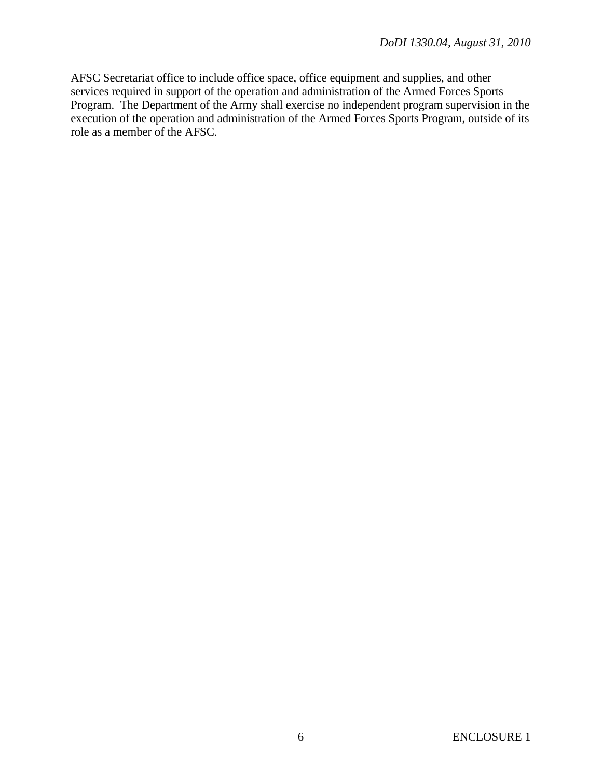AFSC Secretariat office to include office space, office equipment and supplies, and other services required in support of the operation and administration of the Armed Forces Sports Program. The Department of the Army shall exercise no independent program supervision in the execution of the operation and administration of the Armed Forces Sports Program, outside of its role as a member of the AFSC.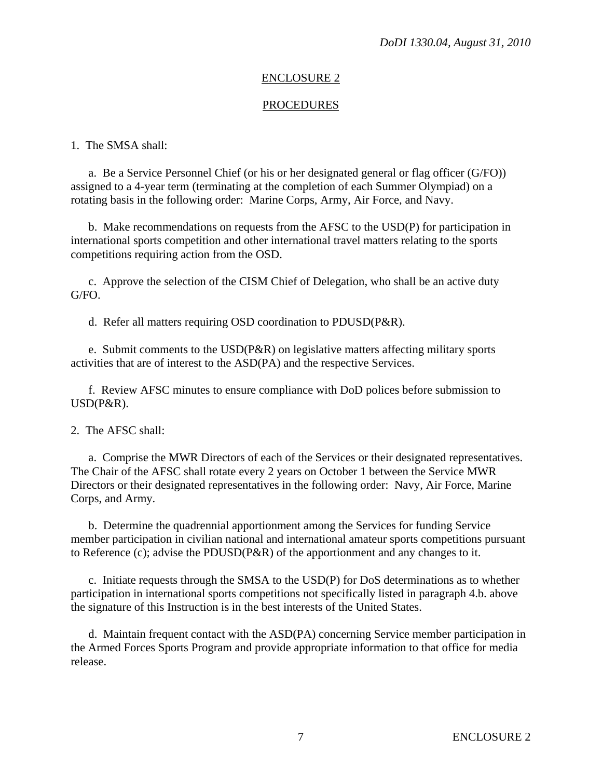#### ENCLOSURE 2

#### PROCEDURES

#### 1. The SMSA shall:

 a. Be a Service Personnel Chief (or his or her designated general or flag officer (G/FO)) assigned to a 4-year term (terminating at the completion of each Summer Olympiad) on a rotating basis in the following order: Marine Corps, Army, Air Force, and Navy.

 b. Make recommendations on requests from the AFSC to the USD(P) for participation in international sports competition and other international travel matters relating to the sports competitions requiring action from the OSD.

 c. Approve the selection of the CISM Chief of Delegation, who shall be an active duty G/FO.

d. Refer all matters requiring OSD coordination to PDUSD(P&R).

e. Submit comments to the  $\text{USD}(P\&R)$  on legislative matters affecting military sports activities that are of interest to the ASD(PA) and the respective Services.

 f. Review AFSC minutes to ensure compliance with DoD polices before submission to USD(P&R).

2. The AFSC shall:

 a. Comprise the MWR Directors of each of the Services or their designated representatives. The Chair of the AFSC shall rotate every 2 years on October 1 between the Service MWR Directors or their designated representatives in the following order: Navy, Air Force, Marine Corps, and Army.

 b. Determine the quadrennial apportionment among the Services for funding Service member participation in civilian national and international amateur sports competitions pursuant to Reference (c); advise the PDUSD(P&R) of the apportionment and any changes to it.

 c. Initiate requests through the SMSA to the USD(P) for DoS determinations as to whether participation in international sports competitions not specifically listed in paragraph 4.b. above the signature of this Instruction is in the best interests of the United States.

 d. Maintain frequent contact with the ASD(PA) concerning Service member participation in the Armed Forces Sports Program and provide appropriate information to that office for media release.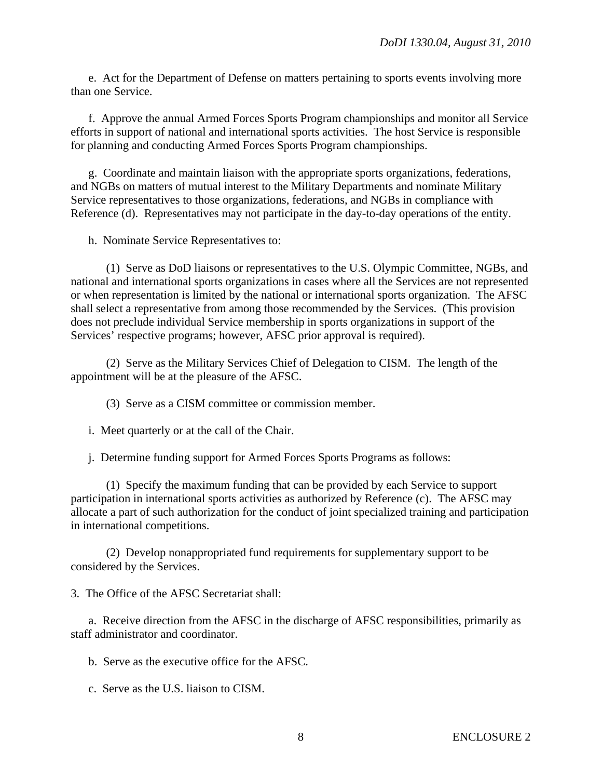e. Act for the Department of Defense on matters pertaining to sports events involving more than one Service.

 f. Approve the annual Armed Forces Sports Program championships and monitor all Service efforts in support of national and international sports activities. The host Service is responsible for planning and conducting Armed Forces Sports Program championships.

 g. Coordinate and maintain liaison with the appropriate sports organizations, federations, and NGBs on matters of mutual interest to the Military Departments and nominate Military Service representatives to those organizations, federations, and NGBs in compliance with Reference (d). Representatives may not participate in the day-to-day operations of the entity.

h. Nominate Service Representatives to:

 (1) Serve as DoD liaisons or representatives to the U.S. Olympic Committee, NGBs, and national and international sports organizations in cases where all the Services are not represented or when representation is limited by the national or international sports organization. The AFSC shall select a representative from among those recommended by the Services. (This provision does not preclude individual Service membership in sports organizations in support of the Services' respective programs; however, AFSC prior approval is required).

 (2) Serve as the Military Services Chief of Delegation to CISM. The length of the appointment will be at the pleasure of the AFSC.

- (3) Serve as a CISM committee or commission member.
- i. Meet quarterly or at the call of the Chair.

j. Determine funding support for Armed Forces Sports Programs as follows:

 (1) Specify the maximum funding that can be provided by each Service to support participation in international sports activities as authorized by Reference (c). The AFSC may allocate a part of such authorization for the conduct of joint specialized training and participation in international competitions.

 (2) Develop nonappropriated fund requirements for supplementary support to be considered by the Services.

3. The Office of the AFSC Secretariat shall:

 a. Receive direction from the AFSC in the discharge of AFSC responsibilities, primarily as staff administrator and coordinator.

b. Serve as the executive office for the AFSC.

c. Serve as the U.S. liaison to CISM.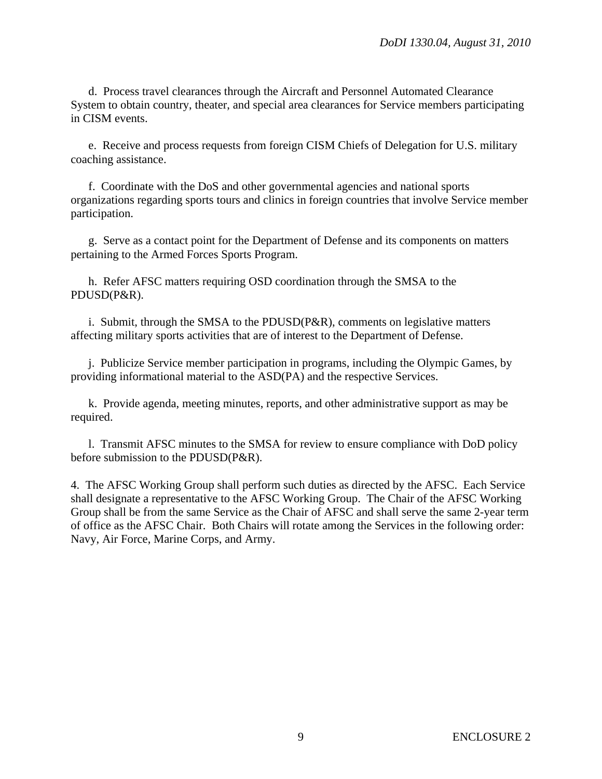d. Process travel clearances through the Aircraft and Personnel Automated Clearance System to obtain country, theater, and special area clearances for Service members participating in CISM events.

 e. Receive and process requests from foreign CISM Chiefs of Delegation for U.S. military coaching assistance.

f. Coordinate with the DoS and other governmental agencies and national sports organizations regarding sports tours and clinics in foreign countries that involve Service member participation.

 g. Serve as a contact point for the Department of Defense and its components on matters pertaining to the Armed Forces Sports Program.

 h. Refer AFSC matters requiring OSD coordination through the SMSA to the PDUSD(P&R).

 i. Submit, through the SMSA to the PDUSD(P&R), comments on legislative matters affecting military sports activities that are of interest to the Department of Defense.

 j. Publicize Service member participation in programs, including the Olympic Games, by providing informational material to the ASD(PA) and the respective Services.

 k. Provide agenda, meeting minutes, reports, and other administrative support as may be required.

 l. Transmit AFSC minutes to the SMSA for review to ensure compliance with DoD policy before submission to the PDUSD(P&R).

4. The AFSC Working Group shall perform such duties as directed by the AFSC. Each Service shall designate a representative to the AFSC Working Group. The Chair of the AFSC Working Group shall be from the same Service as the Chair of AFSC and shall serve the same 2-year term of office as the AFSC Chair. Both Chairs will rotate among the Services in the following order: Navy, Air Force, Marine Corps, and Army.